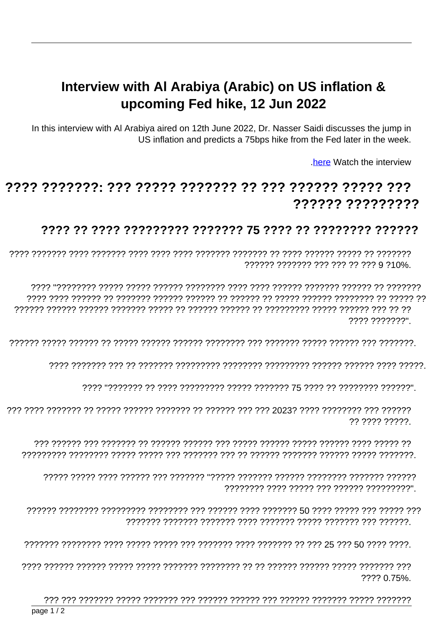## Interview with AI Arabiya (Arabic) on US inflation & upcoming Fed hike, 12 Jun 2022

In this interview with AI Arabiya aired on 12th June 2022, Dr. Nasser Saidi discusses the jump in US inflation and predicts a 75bps hike from the Fed later in the week.

here Watch the interview

## ?????? ?????????

## ???? ?? ???? ????????? ??????? 75 ???? ?? ??????? ??????

?????? ??????? ??? ??? ?? ??? 9 ?10%.

רר רר ררך ררכבור ררכבור הרכבור להרכבור היו הרכבור הרכבור רך הרכבור הרכבור הרכבור הרכבור הרכבור ???? ???????".

?? ???? ?????

, יוזירור ררך ררכורור וררכב ררכור וררכב ררכב רכורכב ררכברבר ברכברב

???? 0.75%.

page  $1/2$